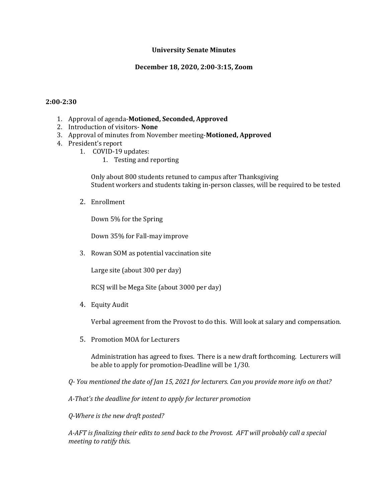## **University Senate Minutes**

## **December 18, 2020, 2:00-3:15, Zoom**

#### **2:00-2:30**

- 1. Approval of agenda-**Motioned, Seconded, Approved**
- 2. Introduction of visitors- **None**
- 3. Approval of minutes from November meeting-**Motioned, Approved**
- 4. President's report
	- 1. COVID-19 updates:
		- 1. Testing and reporting

Only about 800 students retuned to campus after Thanksgiving Student workers and students taking in-person classes, will be required to be tested

2. Enrollment

Down 5% for the Spring

Down 35% for Fall-may improve

3. Rowan SOM as potential vaccination site

Large site (about 300 per day)

RCSJ will be Mega Site (about 3000 per day)

4. Equity Audit

Verbal agreement from the Provost to do this. Will look at salary and compensation.

5. Promotion MOA for Lecturers

Administration has agreed to fixes. There is a new draft forthcoming. Lecturers will be able to apply for promotion-Deadline will be 1/30.

*Q- You mentioned the date of Jan 15, 2021 for lecturers. Can you provide more info on that?*

*A-That's the deadline for intent to apply for lecturer promotion*

*Q-Where is the new draft posted?*

*A-AFT is finalizing their edits to send back to the Provost. AFT will probably call a special meeting to ratify this.*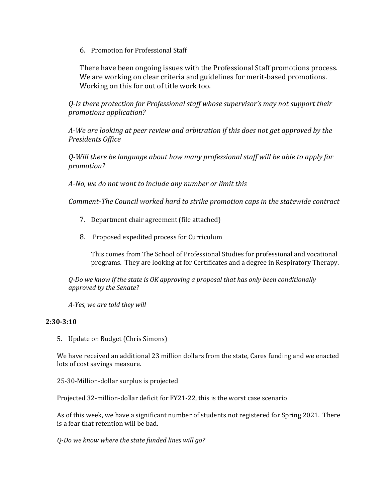6. Promotion for Professional Staff

There have been ongoing issues with the Professional Staff promotions process. We are working on clear criteria and guidelines for merit-based promotions. Working on this for out of title work too.

*Q-Is there protection for Professional staff whose supervisor's may not support their promotions application?*

*A-We are looking at peer review and arbitration if this does not get approved by the Presidents Office*

*Q-Will there be language about how many professional staff will be able to apply for promotion?*

*A-No, we do not want to include any number or limit this*

*Comment-The Council worked hard to strike promotion caps in the statewide contract*

- 7. Department chair agreement (file attached)
- 8. Proposed expedited process for Curriculum

This comes from The School of Professional Studies for professional and vocational programs. They are looking at for Certificates and a degree in Respiratory Therapy.

*Q-Do we know if the state is OK approving a proposal that has only been conditionally approved by the Senate?*

*A-Yes, we are told they will*

## **2:30-3:10**

5. Update on Budget (Chris Simons)

We have received an additional 23 million dollars from the state, Cares funding and we enacted lots of cost savings measure.

25-30-Million-dollar surplus is projected

Projected 32-million-dollar deficit for FY21-22, this is the worst case scenario

As of this week, we have a significant number of students not registered for Spring 2021. There is a fear that retention will be bad.

*Q-Do we know where the state funded lines will go?*